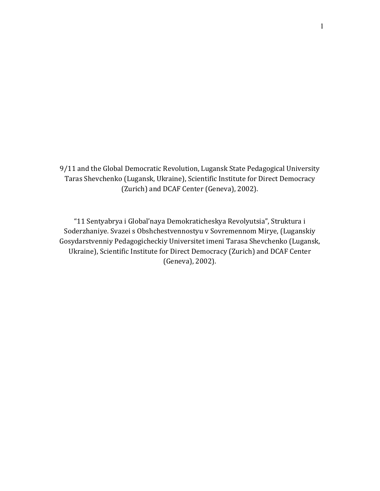9/11 and the Global Democratic Revolution, Lugansk State Pedagogical University Taras Shevchenko (Lugansk, Ukraine), Scientific Institute for Direct Democracy (Zurich) and DCAF Center (Geneva), 2002).

"11 Sentyabrya i Global'naya Demokraticheskya Revolyutsia", Struktura i Soderzhaniye. Svazei s Obshchestvennostyu v Sovremennom Mirye, (Luganskiy Gosydarstvenniy Pedagogicheckiy Universitet imeni Tarasa Shevchenko (Lugansk, Ukraine), Scientific Institute for Direct Democracy (Zurich) and DCAF Center (Geneva), 2002).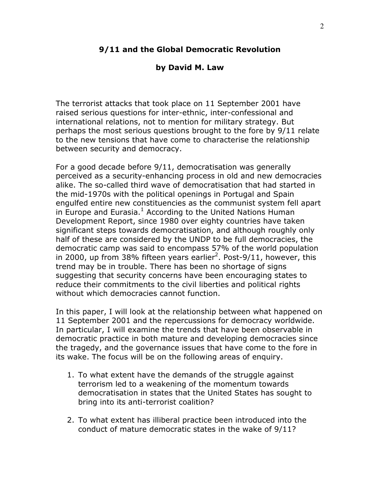### 9/11 and the Global Democratic Revolution

#### by David M. Law

The terrorist attacks that took place on 11 September 2001 have raised serious questions for inter-ethnic, inter-confessional and international relations, not to mention for military strategy. But perhaps the most serious questions brought to the fore by 9/11 relate to the new tensions that have come to characterise the relationship between security and democracy.

For a good decade before 9/11, democratisation was generally perceived as a security-enhancing process in old and new democracies alike. The so-called third wave of democratisation that had started in the mid-1970s with the political openings in Portugal and Spain engulfed entire new constituencies as the communist system fell apart in Europe and Eurasia. $^1$  According to the United Nations Human Development Report, since 1980 over eighty countries have taken significant steps towards democratisation, and although roughly only half of these are considered by the UNDP to be full democracies, the democratic camp was said to encompass 57% of the world population in 2000, up from 38% fifteen years earlier<sup>2</sup>. Post-9/11, however, this trend may be in trouble. There has been no shortage of signs suggesting that security concerns have been encouraging states to reduce their commitments to the civil liberties and political rights without which democracies cannot function.

In this paper, I will look at the relationship between what happened on 11 September 2001 and the repercussions for democracy worldwide. In particular, I will examine the trends that have been observable in democratic practice in both mature and developing democracies since the tragedy, and the governance issues that have come to the fore in its wake. The focus will be on the following areas of enquiry.

- 1. To what extent have the demands of the struggle against terrorism led to a weakening of the momentum towards democratisation in states that the United States has sought to bring into its anti-terrorist coalition?
- 2. To what extent has illiberal practice been introduced into the conduct of mature democratic states in the wake of 9/11?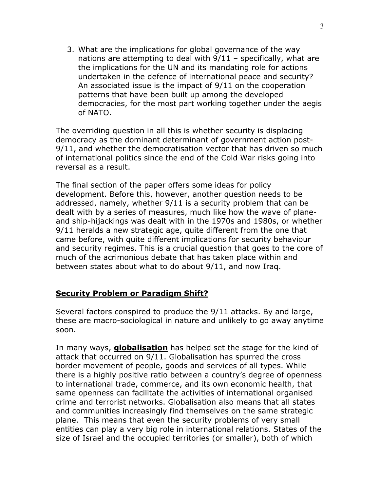3. What are the implications for global governance of the way nations are attempting to deal with 9/11 – specifically, what are the implications for the UN and its mandating role for actions undertaken in the defence of international peace and security? An associated issue is the impact of 9/11 on the cooperation patterns that have been built up among the developed democracies, for the most part working together under the aegis of NATO.

The overriding question in all this is whether security is displacing democracy as the dominant determinant of government action post-9/11, and whether the democratisation vector that has driven so much of international politics since the end of the Cold War risks going into reversal as a result.

The final section of the paper offers some ideas for policy development. Before this, however, another question needs to be addressed, namely, whether 9/11 is a security problem that can be dealt with by a series of measures, much like how the wave of planeand ship-hijackings was dealt with in the 1970s and 1980s, or whether 9/11 heralds a new strategic age, quite different from the one that came before, with quite different implications for security behaviour and security regimes. This is a crucial question that goes to the core of much of the acrimonious debate that has taken place within and between states about what to do about 9/11, and now Iraq.

## Security Problem or Paradigm Shift?

Several factors conspired to produce the 9/11 attacks. By and large, these are macro-sociological in nature and unlikely to go away anytime soon.

In many ways, **globalisation** has helped set the stage for the kind of attack that occurred on 9/11. Globalisation has spurred the cross border movement of people, goods and services of all types. While there is a highly positive ratio between a country's degree of openness to international trade, commerce, and its own economic health, that same openness can facilitate the activities of international organised crime and terrorist networks. Globalisation also means that all states and communities increasingly find themselves on the same strategic plane. This means that even the security problems of very small entities can play a very big role in international relations. States of the size of Israel and the occupied territories (or smaller), both of which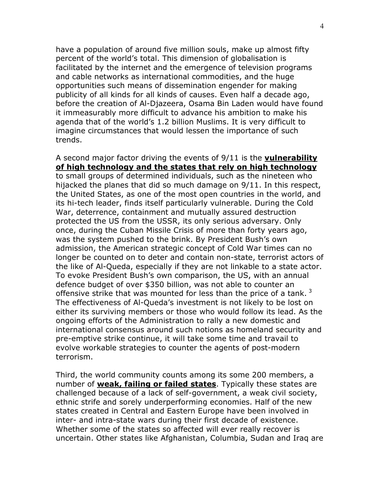have a population of around five million souls, make up almost fifty percent of the world's total. This dimension of globalisation is facilitated by the internet and the emergence of television programs and cable networks as international commodities, and the huge opportunities such means of dissemination engender for making publicity of all kinds for all kinds of causes. Even half a decade ago, before the creation of Al-Djazeera, Osama Bin Laden would have found it immeasurably more difficult to advance his ambition to make his agenda that of the world's 1.2 billion Muslims. It is very difficult to imagine circumstances that would lessen the importance of such trends.

# A second major factor driving the events of 9/11 is the vulnerability of high technology and the states that rely on high technology

to small groups of determined individuals, such as the nineteen who hijacked the planes that did so much damage on 9/11. In this respect, the United States, as one of the most open countries in the world, and its hi-tech leader, finds itself particularly vulnerable. During the Cold War, deterrence, containment and mutually assured destruction protected the US from the USSR, its only serious adversary. Only once, during the Cuban Missile Crisis of more than forty years ago, was the system pushed to the brink. By President Bush's own admission, the American strategic concept of Cold War times can no longer be counted on to deter and contain non-state, terrorist actors of the like of Al-Queda, especially if they are not linkable to a state actor. To evoke President Bush's own comparison, the US, with an annual defence budget of over \$350 billion, was not able to counter an offensive strike that was mounted for less than the price of a tank.  $3$ The effectiveness of Al-Queda's investment is not likely to be lost on either its surviving members or those who would follow its lead. As the ongoing efforts of the Administration to rally a new domestic and international consensus around such notions as homeland security and pre-emptive strike continue, it will take some time and travail to evolve workable strategies to counter the agents of post-modern terrorism.

Third, the world community counts among its some 200 members, a number of **weak, failing or failed states**. Typically these states are challenged because of a lack of self-government, a weak civil society, ethnic strife and sorely underperforming economies. Half of the new states created in Central and Eastern Europe have been involved in inter- and intra-state wars during their first decade of existence. Whether some of the states so affected will ever really recover is uncertain. Other states like Afghanistan, Columbia, Sudan and Iraq are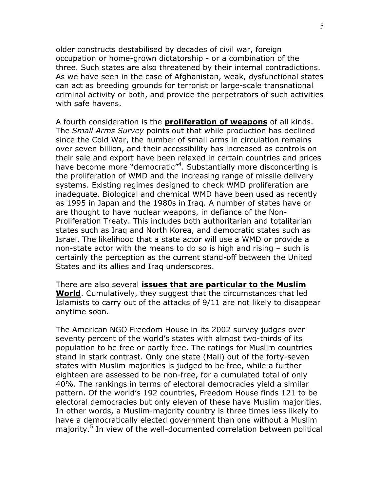older constructs destabilised by decades of civil war, foreign occupation or home-grown dictatorship - or a combination of the three. Such states are also threatened by their internal contradictions. As we have seen in the case of Afghanistan, weak, dysfunctional states can act as breeding grounds for terrorist or large-scale transnational criminal activity or both, and provide the perpetrators of such activities with safe havens.

A fourth consideration is the **proliferation of weapons** of all kinds. The Small Arms Survey points out that while production has declined since the Cold War, the number of small arms in circulation remains over seven billion, and their accessibility has increased as controls on their sale and export have been relaxed in certain countries and prices have become more "democratic"<sup>4</sup>. Substantially more disconcerting is the proliferation of WMD and the increasing range of missile delivery systems. Existing regimes designed to check WMD proliferation are inadequate. Biological and chemical WMD have been used as recently as 1995 in Japan and the 1980s in Iraq. A number of states have or are thought to have nuclear weapons, in defiance of the Non-Proliferation Treaty. This includes both authoritarian and totalitarian states such as Iraq and North Korea, and democratic states such as Israel. The likelihood that a state actor will use a WMD or provide a non-state actor with the means to do so is high and rising – such is certainly the perception as the current stand-off between the United States and its allies and Iraq underscores.

There are also several issues that are particular to the Muslim World. Cumulatively, they suggest that the circumstances that led Islamists to carry out of the attacks of 9/11 are not likely to disappear anytime soon.

The American NGO Freedom House in its 2002 survey judges over seventy percent of the world's states with almost two-thirds of its population to be free or partly free. The ratings for Muslim countries stand in stark contrast. Only one state (Mali) out of the forty-seven states with Muslim majorities is judged to be free, while a further eighteen are assessed to be non-free, for a cumulated total of only 40%. The rankings in terms of electoral democracies yield a similar pattern. Of the world's 192 countries, Freedom House finds 121 to be electoral democracies but only eleven of these have Muslim majorities. In other words, a Muslim-majority country is three times less likely to have a democratically elected government than one without a Muslim majority.<sup>5</sup> In view of the well-documented correlation between political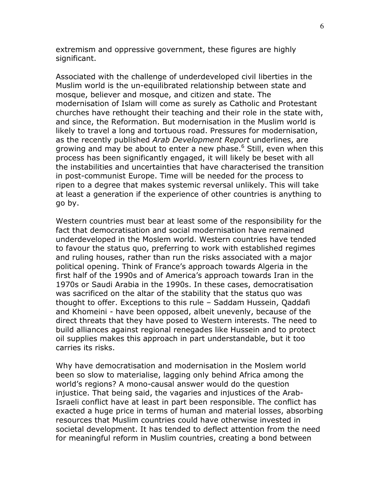extremism and oppressive government, these figures are highly significant.

Associated with the challenge of underdeveloped civil liberties in the Muslim world is the un-equilibrated relationship between state and mosque, believer and mosque, and citizen and state. The modernisation of Islam will come as surely as Catholic and Protestant churches have rethought their teaching and their role in the state with, and since, the Reformation. But modernisation in the Muslim world is likely to travel a long and tortuous road. Pressures for modernisation, as the recently published Arab Development Report underlines, are growing and may be about to enter a new phase.<sup>6</sup> Still, even when this process has been significantly engaged, it will likely be beset with all the instabilities and uncertainties that have characterised the transition in post-communist Europe. Time will be needed for the process to ripen to a degree that makes systemic reversal unlikely. This will take at least a generation if the experience of other countries is anything to go by.

Western countries must bear at least some of the responsibility for the fact that democratisation and social modernisation have remained underdeveloped in the Moslem world. Western countries have tended to favour the status quo, preferring to work with established regimes and ruling houses, rather than run the risks associated with a major political opening. Think of France's approach towards Algeria in the first half of the 1990s and of America's approach towards Iran in the 1970s or Saudi Arabia in the 1990s. In these cases, democratisation was sacrificed on the altar of the stability that the status quo was thought to offer. Exceptions to this rule – Saddam Hussein, Qaddafi and Khomeini - have been opposed, albeit unevenly, because of the direct threats that they have posed to Western interests. The need to build alliances against regional renegades like Hussein and to protect oil supplies makes this approach in part understandable, but it too carries its risks.

Why have democratisation and modernisation in the Moslem world been so slow to materialise, lagging only behind Africa among the world's regions? A mono-causal answer would do the question injustice. That being said, the vagaries and injustices of the Arab-Israeli conflict have at least in part been responsible. The conflict has exacted a huge price in terms of human and material losses, absorbing resources that Muslim countries could have otherwise invested in societal development. It has tended to deflect attention from the need for meaningful reform in Muslim countries, creating a bond between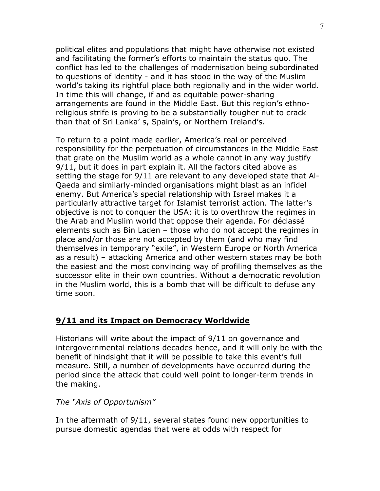political elites and populations that might have otherwise not existed and facilitating the former's efforts to maintain the status quo. The conflict has led to the challenges of modernisation being subordinated to questions of identity - and it has stood in the way of the Muslim world's taking its rightful place both regionally and in the wider world. In time this will change, if and as equitable power-sharing arrangements are found in the Middle East. But this region's ethnoreligious strife is proving to be a substantially tougher nut to crack than that of Sri Lanka' s, Spain's, or Northern Ireland's.

To return to a point made earlier, America's real or perceived responsibility for the perpetuation of circumstances in the Middle East that grate on the Muslim world as a whole cannot in any way justify 9/11, but it does in part explain it. All the factors cited above as setting the stage for 9/11 are relevant to any developed state that Al-Qaeda and similarly-minded organisations might blast as an infidel enemy. But America's special relationship with Israel makes it a particularly attractive target for Islamist terrorist action. The latter's objective is not to conquer the USA; it is to overthrow the regimes in the Arab and Muslim world that oppose their agenda. For déclassé elements such as Bin Laden – those who do not accept the regimes in place and/or those are not accepted by them (and who may find themselves in temporary "exile", in Western Europe or North America as a result) – attacking America and other western states may be both the easiest and the most convincing way of profiling themselves as the successor elite in their own countries. Without a democratic revolution in the Muslim world, this is a bomb that will be difficult to defuse any time soon.

## 9/11 and its Impact on Democracy Worldwide

Historians will write about the impact of 9/11 on governance and intergovernmental relations decades hence, and it will only be with the benefit of hindsight that it will be possible to take this event's full measure. Still, a number of developments have occurred during the period since the attack that could well point to longer-term trends in the making.

The "Axis of Opportunism"

In the aftermath of 9/11, several states found new opportunities to pursue domestic agendas that were at odds with respect for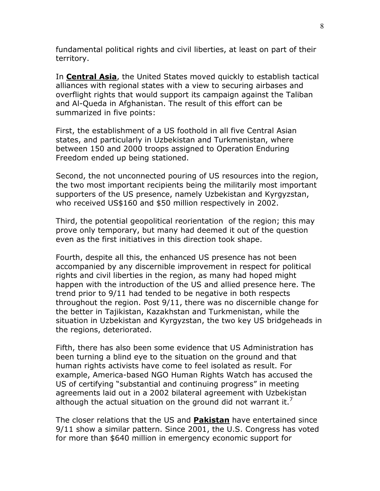fundamental political rights and civil liberties, at least on part of their territory.

In **Central Asia**, the United States moved quickly to establish tactical alliances with regional states with a view to securing airbases and overflight rights that would support its campaign against the Taliban and Al-Queda in Afghanistan. The result of this effort can be summarized in five points:

First, the establishment of a US foothold in all five Central Asian states, and particularly in Uzbekistan and Turkmenistan, where between 150 and 2000 troops assigned to Operation Enduring Freedom ended up being stationed.

Second, the not unconnected pouring of US resources into the region, the two most important recipients being the militarily most important supporters of the US presence, namely Uzbekistan and Kyrgyzstan, who received US\$160 and \$50 million respectively in 2002.

Third, the potential geopolitical reorientation of the region; this may prove only temporary, but many had deemed it out of the question even as the first initiatives in this direction took shape.

Fourth, despite all this, the enhanced US presence has not been accompanied by any discernible improvement in respect for political rights and civil liberties in the region, as many had hoped might happen with the introduction of the US and allied presence here. The trend prior to 9/11 had tended to be negative in both respects throughout the region. Post 9/11, there was no discernible change for the better in Tajikistan, Kazakhstan and Turkmenistan, while the situation in Uzbekistan and Kyrgyzstan, the two key US bridgeheads in the regions, deteriorated.

Fifth, there has also been some evidence that US Administration has been turning a blind eye to the situation on the ground and that human rights activists have come to feel isolated as result. For example, America-based NGO Human Rights Watch has accused the US of certifying "substantial and continuing progress" in meeting agreements laid out in a 2002 bilateral agreement with Uzbekistan although the actual situation on the ground did not warrant it. $'$ 

The closer relations that the US and Pakistan have entertained since 9/11 show a similar pattern. Since 2001, the U.S. Congress has voted for more than \$640 million in emergency economic support for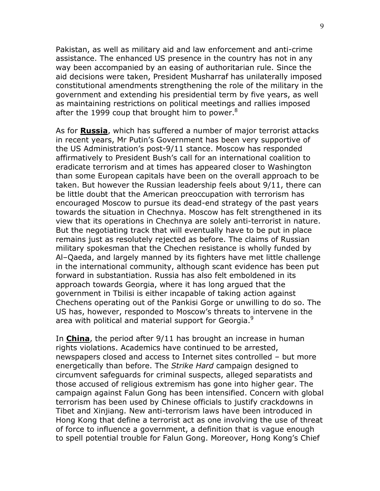Pakistan, as well as military aid and law enforcement and anti-crime assistance. The enhanced US presence in the country has not in any way been accompanied by an easing of authoritarian rule. Since the aid decisions were taken, President Musharraf has unilaterally imposed constitutional amendments strengthening the role of the military in the government and extending his presidential term by five years, as well as maintaining restrictions on political meetings and rallies imposed after the 1999 coup that brought him to power. $8<sup>8</sup>$ 

As for **Russia**, which has suffered a number of major terrorist attacks in recent years, Mr Putin's Government has been very supportive of the US Administration's post-9/11 stance. Moscow has responded affirmatively to President Bush's call for an international coalition to eradicate terrorism and at times has appeared closer to Washington than some European capitals have been on the overall approach to be taken. But however the Russian leadership feels about 9/11, there can be little doubt that the American preoccupation with terrorism has encouraged Moscow to pursue its dead-end strategy of the past years towards the situation in Chechnya. Moscow has felt strengthened in its view that its operations in Chechnya are solely anti-terrorist in nature. But the negotiating track that will eventually have to be put in place remains just as resolutely rejected as before. The claims of Russian military spokesman that the Chechen resistance is wholly funded by Al–Qaeda, and largely manned by its fighters have met little challenge in the international community, although scant evidence has been put forward in substantiation. Russia has also felt emboldened in its approach towards Georgia, where it has long argued that the government in Tbilisi is either incapable of taking action against Chechens operating out of the Pankisi Gorge or unwilling to do so. The US has, however, responded to Moscow's threats to intervene in the area with political and material support for Georgia.<sup>9</sup>

In **China**, the period after 9/11 has brought an increase in human rights violations. Academics have continued to be arrested, newspapers closed and access to Internet sites controlled – but more energetically than before. The *Strike Hard* campaign designed to circumvent safeguards for criminal suspects, alleged separatists and those accused of religious extremism has gone into higher gear. The campaign against Falun Gong has been intensified. Concern with global terrorism has been used by Chinese officials to justify crackdowns in Tibet and Xinjiang. New anti-terrorism laws have been introduced in Hong Kong that define a terrorist act as one involving the use of threat of force to influence a government, a definition that is vague enough to spell potential trouble for Falun Gong. Moreover, Hong Kong's Chief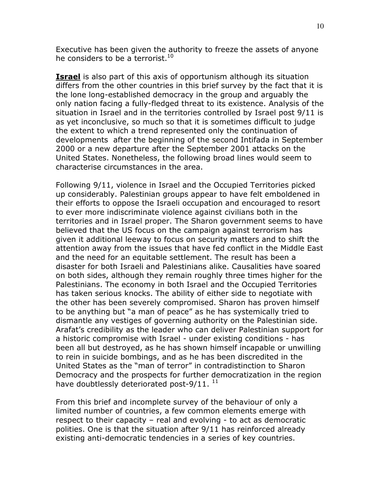Executive has been given the authority to freeze the assets of anyone he considers to be a terrorist.<sup>10</sup>

**Israel** is also part of this axis of opportunism although its situation differs from the other countries in this brief survey by the fact that it is the lone long-established democracy in the group and arguably the only nation facing a fully-fledged threat to its existence. Analysis of the situation in Israel and in the territories controlled by Israel post 9/11 is as yet inconclusive, so much so that it is sometimes difficult to judge the extent to which a trend represented only the continuation of developments after the beginning of the second Intifada in September 2000 or a new departure after the September 2001 attacks on the United States. Nonetheless, the following broad lines would seem to characterise circumstances in the area.

Following 9/11, violence in Israel and the Occupied Territories picked up considerably. Palestinian groups appear to have felt emboldened in their efforts to oppose the Israeli occupation and encouraged to resort to ever more indiscriminate violence against civilians both in the territories and in Israel proper. The Sharon government seems to have believed that the US focus on the campaign against terrorism has given it additional leeway to focus on security matters and to shift the attention away from the issues that have fed conflict in the Middle East and the need for an equitable settlement. The result has been a disaster for both Israeli and Palestinians alike. Causalities have soared on both sides, although they remain roughly three times higher for the Palestinians. The economy in both Israel and the Occupied Territories has taken serious knocks. The ability of either side to negotiate with the other has been severely compromised. Sharon has proven himself to be anything but "a man of peace" as he has systemically tried to dismantle any vestiges of governing authority on the Palestinian side. Arafat's credibility as the leader who can deliver Palestinian support for a historic compromise with Israel - under existing conditions - has been all but destroyed, as he has shown himself incapable or unwilling to rein in suicide bombings, and as he has been discredited in the United States as the "man of terror" in contradistinction to Sharon Democracy and the prospects for further democratization in the region have doubtlessly deteriorated post-9/11.  $^{11}$ 

From this brief and incomplete survey of the behaviour of only a limited number of countries, a few common elements emerge with respect to their capacity – real and evolving - to act as democratic polities. One is that the situation after 9/11 has reinforced already existing anti-democratic tendencies in a series of key countries.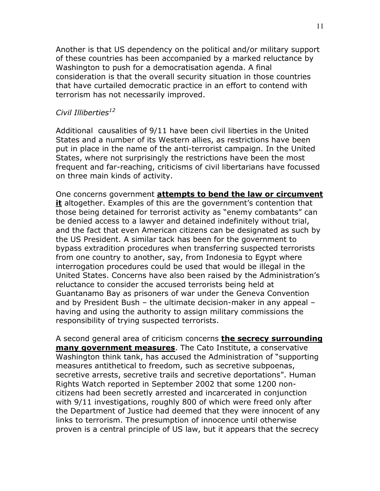Another is that US dependency on the political and/or military support of these countries has been accompanied by a marked reluctance by Washington to push for a democratisation agenda. A final consideration is that the overall security situation in those countries that have curtailed democratic practice in an effort to contend with terrorism has not necessarily improved.

#### Civil Illiberties<sup>12</sup>

Additional causalities of 9/11 have been civil liberties in the United States and a number of its Western allies, as restrictions have been put in place in the name of the anti-terrorist campaign. In the United States, where not surprisingly the restrictions have been the most frequent and far-reaching, criticisms of civil libertarians have focussed on three main kinds of activity.

One concerns government attempts to bend the law or circumvent it altogether. Examples of this are the government's contention that those being detained for terrorist activity as "enemy combatants" can be denied access to a lawyer and detained indefinitely without trial, and the fact that even American citizens can be designated as such by the US President. A similar tack has been for the government to bypass extradition procedures when transferring suspected terrorists from one country to another, say, from Indonesia to Egypt where interrogation procedures could be used that would be illegal in the United States. Concerns have also been raised by the Administration's reluctance to consider the accused terrorists being held at Guantanamo Bay as prisoners of war under the Geneva Convention and by President Bush – the ultimate decision-maker in any appeal – having and using the authority to assign military commissions the responsibility of trying suspected terrorists.

A second general area of criticism concerns **the secrecy surrounding** many government measures. The Cato Institute, a conservative Washington think tank, has accused the Administration of "supporting measures antithetical to freedom, such as secretive subpoenas, secretive arrests, secretive trails and secretive deportations". Human Rights Watch reported in September 2002 that some 1200 noncitizens had been secretly arrested and incarcerated in conjunction with 9/11 investigations, roughly 800 of which were freed only after the Department of Justice had deemed that they were innocent of any links to terrorism. The presumption of innocence until otherwise proven is a central principle of US law, but it appears that the secrecy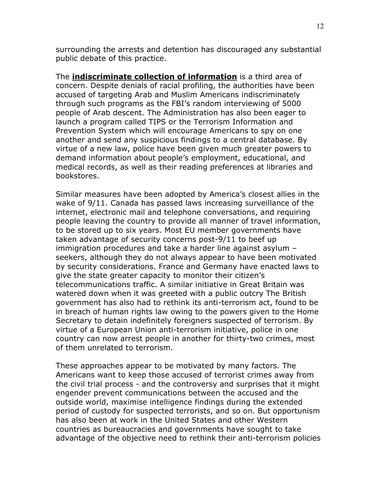surrounding the arrests and detention has discouraged any substantial public debate of this practice.

The **indiscriminate collection of information** is a third area of concern. Despite denials of racial profiling, the authorities have been accused of targeting Arab and Muslim Americans indiscriminately through such programs as the FBI's random interviewing of 5000 people of Arab descent. The Administration has also been eager to launch a program called TIPS or the Terrorism Information and Prevention System which will encourage Americans to spy on one another and send any suspicious findings to a central database. By virtue of a new law, police have been given much greater powers to demand information about people's employment, educational, and medical records, as well as their reading preferences at libraries and bookstores.

Similar measures have been adopted by America's closest allies in the wake of 9/11. Canada has passed laws increasing surveillance of the internet, electronic mail and telephone conversations, and requiring people leaving the country to provide all manner of travel information, to be stored up to six years. Most EU member governments have taken advantage of security concerns post-9/11 to beef up immigration procedures and take a harder line against asylum – seekers, although they do not always appear to have been motivated by security considerations. France and Germany have enacted laws to give the state greater capacity to monitor their citizen's telecommunications traffic. A similar initiative in Great Britain was watered down when it was greeted with a public outcry The British government has also had to rethink its anti-terrorism act, found to be in breach of human rights law owing to the powers given to the Home Secretary to detain indefinitely foreigners suspected of terrorism. By virtue of a European Union anti-terrorism initiative, police in one country can now arrest people in another for thirty-two crimes, most of them unrelated to terrorism.

These approaches appear to be motivated by many factors. The Americans want to keep those accused of terrorist crimes away from the civil trial process - and the controversy and surprises that it might engender prevent communications between the accused and the outside world, maximise intelligence findings during the extended period of custody for suspected terrorists, and so on. But opportunism has also been at work in the United States and other Western countries as bureaucracies and governments have sought to take advantage of the objective need to rethink their anti-terrorism policies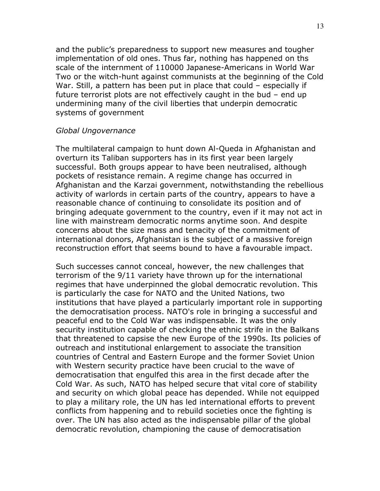and the public's preparedness to support new measures and tougher implementation of old ones. Thus far, nothing has happened on ths scale of the internment of 110000 Japanese-Americans in World War Two or the witch-hunt against communists at the beginning of the Cold War. Still, a pattern has been put in place that could – especially if future terrorist plots are not effectively caught in the bud – end up undermining many of the civil liberties that underpin democratic systems of government

#### Global Ungovernance

The multilateral campaign to hunt down Al-Queda in Afghanistan and overturn its Taliban supporters has in its first year been largely successful. Both groups appear to have been neutralised, although pockets of resistance remain. A regime change has occurred in Afghanistan and the Karzai government, notwithstanding the rebellious activity of warlords in certain parts of the country, appears to have a reasonable chance of continuing to consolidate its position and of bringing adequate government to the country, even if it may not act in line with mainstream democratic norms anytime soon. And despite concerns about the size mass and tenacity of the commitment of international donors, Afghanistan is the subject of a massive foreign reconstruction effort that seems bound to have a favourable impact.

Such successes cannot conceal, however, the new challenges that terrorism of the 9/11 variety have thrown up for the international regimes that have underpinned the global democratic revolution. This is particularly the case for NATO and the United Nations, two institutions that have played a particularly important role in supporting the democratisation process. NATO's role in bringing a successful and peaceful end to the Cold War was indispensable. It was the only security institution capable of checking the ethnic strife in the Balkans that threatened to capsise the new Europe of the 1990s. Its policies of outreach and institutional enlargement to associate the transition countries of Central and Eastern Europe and the former Soviet Union with Western security practice have been crucial to the wave of democratisation that engulfed this area in the first decade after the Cold War. As such, NATO has helped secure that vital core of stability and security on which global peace has depended. While not equipped to play a military role, the UN has led international efforts to prevent conflicts from happening and to rebuild societies once the fighting is over. The UN has also acted as the indispensable pillar of the global democratic revolution, championing the cause of democratisation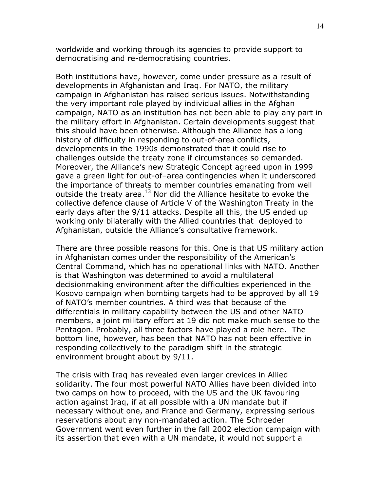worldwide and working through its agencies to provide support to democratising and re-democratising countries.

Both institutions have, however, come under pressure as a result of developments in Afghanistan and Iraq. For NATO, the military campaign in Afghanistan has raised serious issues. Notwithstanding the very important role played by individual allies in the Afghan campaign, NATO as an institution has not been able to play any part in the military effort in Afghanistan. Certain developments suggest that this should have been otherwise. Although the Alliance has a long history of difficulty in responding to out-of-area conflicts, developments in the 1990s demonstrated that it could rise to challenges outside the treaty zone if circumstances so demanded. Moreover, the Alliance's new Strategic Concept agreed upon in 1999 gave a green light for out-of–area contingencies when it underscored the importance of threats to member countries emanating from well outside the treaty area. $13$  Nor did the Alliance hesitate to evoke the collective defence clause of Article V of the Washington Treaty in the early days after the 9/11 attacks. Despite all this, the US ended up working only bilaterally with the Allied countries that deployed to Afghanistan, outside the Alliance's consultative framework.

There are three possible reasons for this. One is that US military action in Afghanistan comes under the responsibility of the American's Central Command, which has no operational links with NATO. Another is that Washington was determined to avoid a multilateral decisionmaking environment after the difficulties experienced in the Kosovo campaign when bombing targets had to be approved by all 19 of NATO's member countries. A third was that because of the differentials in military capability between the US and other NATO members, a joint military effort at 19 did not make much sense to the Pentagon. Probably, all three factors have played a role here. The bottom line, however, has been that NATO has not been effective in responding collectively to the paradigm shift in the strategic environment brought about by 9/11.

The crisis with Iraq has revealed even larger crevices in Allied solidarity. The four most powerful NATO Allies have been divided into two camps on how to proceed, with the US and the UK favouring action against Iraq, if at all possible with a UN mandate but if necessary without one, and France and Germany, expressing serious reservations about any non-mandated action. The Schroeder Government went even further in the fall 2002 election campaign with its assertion that even with a UN mandate, it would not support a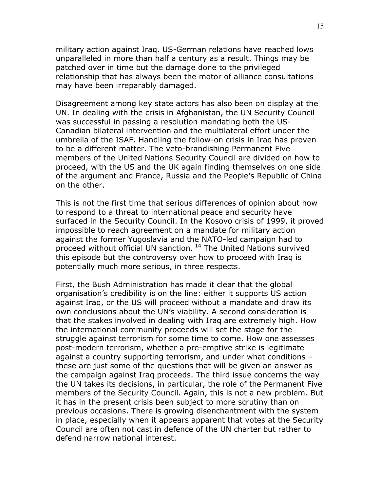military action against Iraq. US-German relations have reached lows unparalleled in more than half a century as a result. Things may be patched over in time but the damage done to the privileged relationship that has always been the motor of alliance consultations may have been irreparably damaged.

Disagreement among key state actors has also been on display at the UN. In dealing with the crisis in Afghanistan, the UN Security Council was successful in passing a resolution mandating both the US-Canadian bilateral intervention and the multilateral effort under the umbrella of the ISAF. Handling the follow-on crisis in Iraq has proven to be a different matter. The veto-brandishing Permanent Five members of the United Nations Security Council are divided on how to proceed, with the US and the UK again finding themselves on one side of the argument and France, Russia and the People's Republic of China on the other.

This is not the first time that serious differences of opinion about how to respond to a threat to international peace and security have surfaced in the Security Council. In the Kosovo crisis of 1999, it proved impossible to reach agreement on a mandate for military action against the former Yugoslavia and the NATO-led campaign had to proceed without official UN sanction.<sup>14</sup> The United Nations survived this episode but the controversy over how to proceed with Iraq is potentially much more serious, in three respects.

First, the Bush Administration has made it clear that the global organisation's credibility is on the line: either it supports US action against Iraq, or the US will proceed without a mandate and draw its own conclusions about the UN's viability. A second consideration is that the stakes involved in dealing with Iraq are extremely high. How the international community proceeds will set the stage for the struggle against terrorism for some time to come. How one assesses post-modern terrorism, whether a pre-emptive strike is legitimate against a country supporting terrorism, and under what conditions – these are just some of the questions that will be given an answer as the campaign against Iraq proceeds. The third issue concerns the way the UN takes its decisions, in particular, the role of the Permanent Five members of the Security Council. Again, this is not a new problem. But it has in the present crisis been subject to more scrutiny than on previous occasions. There is growing disenchantment with the system in place, especially when it appears apparent that votes at the Security Council are often not cast in defence of the UN charter but rather to defend narrow national interest.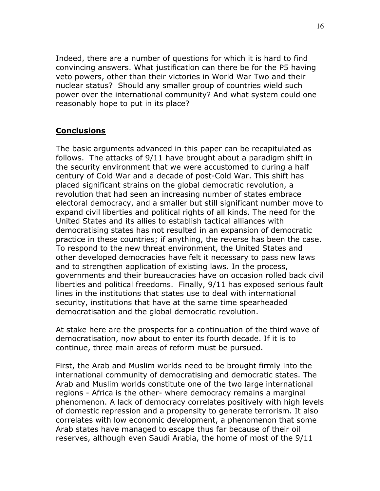Indeed, there are a number of questions for which it is hard to find convincing answers. What justification can there be for the P5 having veto powers, other than their victories in World War Two and their nuclear status? Should any smaller group of countries wield such power over the international community? And what system could one reasonably hope to put in its place?

## **Conclusions**

The basic arguments advanced in this paper can be recapitulated as follows. The attacks of 9/11 have brought about a paradigm shift in the security environment that we were accustomed to during a half century of Cold War and a decade of post-Cold War. This shift has placed significant strains on the global democratic revolution, a revolution that had seen an increasing number of states embrace electoral democracy, and a smaller but still significant number move to expand civil liberties and political rights of all kinds. The need for the United States and its allies to establish tactical alliances with democratising states has not resulted in an expansion of democratic practice in these countries; if anything, the reverse has been the case. To respond to the new threat environment, the United States and other developed democracies have felt it necessary to pass new laws and to strengthen application of existing laws. In the process, governments and their bureaucracies have on occasion rolled back civil liberties and political freedoms. Finally, 9/11 has exposed serious fault lines in the institutions that states use to deal with international security, institutions that have at the same time spearheaded democratisation and the global democratic revolution.

At stake here are the prospects for a continuation of the third wave of democratisation, now about to enter its fourth decade. If it is to continue, three main areas of reform must be pursued.

First, the Arab and Muslim worlds need to be brought firmly into the international community of democratising and democratic states. The Arab and Muslim worlds constitute one of the two large international regions - Africa is the other- where democracy remains a marginal phenomenon. A lack of democracy correlates positively with high levels of domestic repression and a propensity to generate terrorism. It also correlates with low economic development, a phenomenon that some Arab states have managed to escape thus far because of their oil reserves, although even Saudi Arabia, the home of most of the 9/11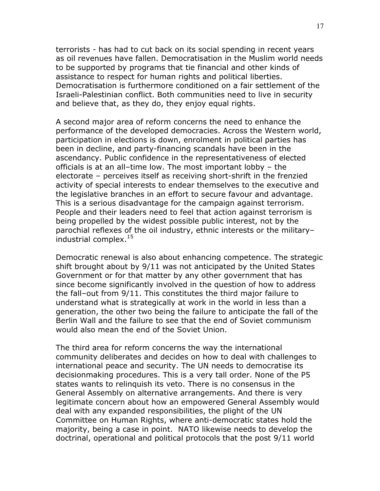terrorists - has had to cut back on its social spending in recent years as oil revenues have fallen. Democratisation in the Muslim world needs to be supported by programs that tie financial and other kinds of assistance to respect for human rights and political liberties. Democratisation is furthermore conditioned on a fair settlement of the Israeli-Palestinian conflict. Both communities need to live in security and believe that, as they do, they enjoy equal rights.

A second major area of reform concerns the need to enhance the performance of the developed democracies. Across the Western world, participation in elections is down, enrolment in political parties has been in decline, and party-financing scandals have been in the ascendancy. Public confidence in the representativeness of elected officials is at an all–time low. The most important lobby – the electorate – perceives itself as receiving short-shrift in the frenzied activity of special interests to endear themselves to the executive and the legislative branches in an effort to secure favour and advantage. This is a serious disadvantage for the campaign against terrorism. People and their leaders need to feel that action against terrorism is being propelled by the widest possible public interest, not by the parochial reflexes of the oil industry, ethnic interests or the military– industrial complex.<sup>15</sup>

Democratic renewal is also about enhancing competence. The strategic shift brought about by 9/11 was not anticipated by the United States Government or for that matter by any other government that has since become significantly involved in the question of how to address the fall–out from 9/11. This constitutes the third major failure to understand what is strategically at work in the world in less than a generation, the other two being the failure to anticipate the fall of the Berlin Wall and the failure to see that the end of Soviet communism would also mean the end of the Soviet Union.

The third area for reform concerns the way the international community deliberates and decides on how to deal with challenges to international peace and security. The UN needs to democratise its decisionmaking procedures. This is a very tall order. None of the P5 states wants to relinquish its veto. There is no consensus in the General Assembly on alternative arrangements. And there is very legitimate concern about how an empowered General Assembly would deal with any expanded responsibilities, the plight of the UN Committee on Human Rights, where anti-democratic states hold the majority, being a case in point. NATO likewise needs to develop the doctrinal, operational and political protocols that the post 9/11 world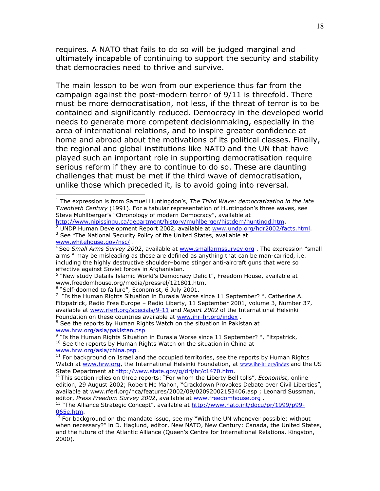requires. A NATO that fails to do so will be judged marginal and ultimately incapable of continuing to support the security and stability that democracies need to thrive and survive.

The main lesson to be won from our experience thus far from the campaign against the post-modern terror of 9/11 is threefold. There must be more democratisation, not less, if the threat of terror is to be contained and significantly reduced. Democracy in the developed world needs to generate more competent decisionmaking, especially in the area of international relations, and to inspire greater confidence at home and abroad about the motivations of its political classes. Finally, the regional and global institutions like NATO and the UN that have played such an important role in supporting democratisation require serious reform if they are to continue to do so. These are daunting challenges that must be met if the third wave of democratisation, unlike those which preceded it, is to avoid going into reversal.

http://www.nipissingu.ca/department/history/muhlberger/histdem/huntingd.htm.

<sup>2</sup> UNDP Human Development Report 2002, available at www.undp.org/hdr2002/facts.html. <sup>3</sup> See "The National Security Policy of the United States, available at www.whitehouse.gov/nsc/ .

<sup>5</sup> "New study Details Islamic World's Democracy Deficit", Freedom House, available at www.freedomhouse.org/media/pressrel/121801.htm.

<sup>6</sup> "Self-doomed to failure", Economist, 6 July 2001.

<u>.</u>

 $7$  "Is the Human Rights Situation in Eurasia Worse since 11 September? ", Catherine A. Fitzpatrick, Radio Free Europe – Radio Liberty, 11 September 2001, volume 3, Number 37, available at www.rferl.org/specials/9-11 and Report 2002 of the International Helsinki Foundation on these countries available at www.ihr-hr.org/index .

<sup>&</sup>lt;sup>1</sup> The expression is from Samuel Huntingdon's, The Third Wave: democratization in the late Twentieth Century (1991). For a tabular representation of Huntingdon's three waves, see Steve Muhllberger's "Chronology of modern Democracy", available at

 $4$  See Small Arms Survey 2002, available at www.smallarmssurvey.org. The expression "small arms " may be misleading as these are defined as anything that can be man-carried, i.e. including the highly destructive shoulder–borne stinger anti-aircraft guns that were so effective against Soviet forces in Afghanistan.

<sup>&</sup>lt;sup>8</sup> See the reports by Human Rights Watch on the situation in Pakistan at

<sup>&</sup>lt;u>www.hrw.org/asia/pakistan.psp</u><br><sup>9</sup> "Is the Human Rights Situation in Eurasia Worse since 11 September? ", Fitzpatrick,  $10$  See the reports by Human Rights Watch on the situation in China at www.hrw.org/asia/china.psp .

 $11$  For background on Israel and the occupied territories, see the reports by Human Rights Watch at www.hrw.org, the International Helsinki Foundation, at www.ihr-hr.org/index and the US State Department at http://www.state.gov/g/drl/hr/c1470.htm.

<sup>&</sup>lt;sup>12</sup> This section relies on three reports: "For whom the Liberty Bell tolls", *Economist*, online edition, 29 August 2002; Robert Mc Mahon, "Crackdown Provokes Debate over Civil Liberties", available at www.rferl.org/nca/features/2002/09/02092002153406.asp ; Leonard Sussman, editor, Press Freedom Survey 2002, available at www.freedomhouse.org.

<sup>&</sup>lt;sup>13</sup> "The Alliance Strategic Concept", available at http://www.nato.int/docu/pr/1999/p99-065e.htm.

 $14$  For background on the mandate issue, see my "With the UN whenever possible; without when necessary?" in D. Haglund, editor, New NATO, New Century: Canada, the United States, and the future of the Atlantic Alliance (Queen's Centre for International Relations, Kingston, 2000).